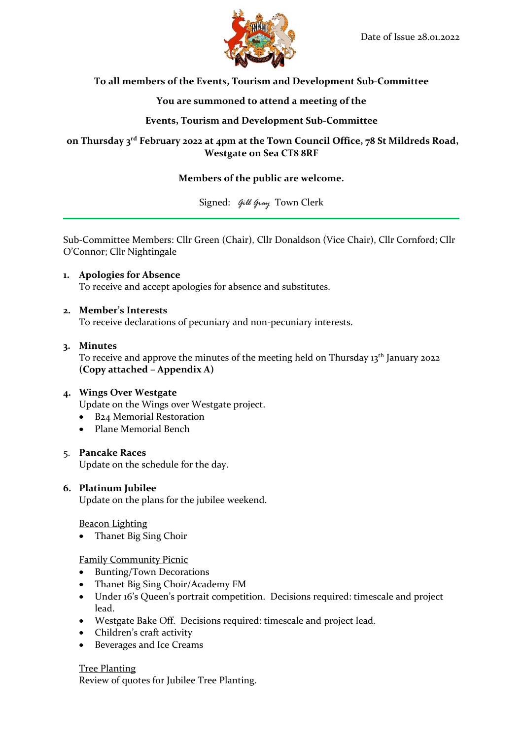

# **To all members of the Events, Tourism and Development Sub-Committee**

# **You are summoned to attend a meeting of the**

# **Events, Tourism and Development Sub-Committee**

# **on Thursday 3 rd February 2022 at 4pm at the Town Council Office, 78 St Mildreds Road, Westgate on Sea CT8 8RF**

# **Members of the public are welcome.**

Signed: *Gill Gray* Town Clerk

Sub-Committee Members: Cllr Green (Chair), Cllr Donaldson (Vice Chair), Cllr Cornford; Cllr O'Connor; Cllr Nightingale

**1. Apologies for Absence** To receive and accept apologies for absence and substitutes.

## **2. Member's Interests**

To receive declarations of pecuniary and non-pecuniary interests.

### **3. Minutes**

To receive and approve the minutes of the meeting held on Thursday 13<sup>th</sup> January 2022 **(Copy attached – Appendix A)**

## **4. Wings Over Westgate**

Update on the Wings over Westgate project.

- B24 Memorial Restoration
- Plane Memorial Bench

## 5. **Pancake Races**

Update on the schedule for the day.

#### **6. Platinum Jubilee**

Update on the plans for the jubilee weekend.

#### Beacon Lighting

• Thanet Big Sing Choir

## Family Community Picnic

- Bunting/Town Decorations
- Thanet Big Sing Choir/Academy FM
- Under 16's Queen's portrait competition. Decisions required: timescale and project lead.
- Westgate Bake Off. Decisions required: timescale and project lead.
- Children's craft activity
- Beverages and Ice Creams

## Tree Planting

Review of quotes for Jubilee Tree Planting.